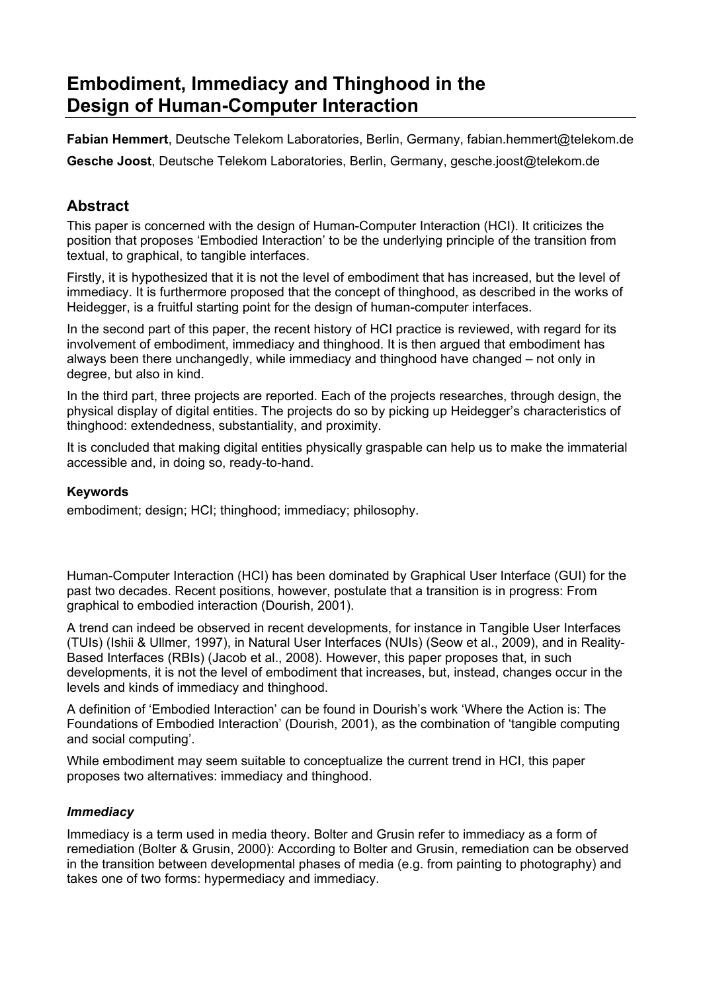# **Embodiment, Immediacy and Thinghood in the Design of Human-Computer Interaction**

**Fabian Hemmert**, Deutsche Telekom Laboratories, Berlin, Germany, fabian.hemmert@telekom.de **Gesche Joost**, Deutsche Telekom Laboratories, Berlin, Germany, gesche.joost@telekom.de

# **Abstract**

This paper is concerned with the design of Human-Computer Interaction (HCI). It criticizes the position that proposes 'Embodied Interaction' to be the underlying principle of the transition from textual, to graphical, to tangible interfaces.

Firstly, it is hypothesized that it is not the level of embodiment that has increased, but the level of immediacy. It is furthermore proposed that the concept of thinghood, as described in the works of Heidegger, is a fruitful starting point for the design of human-computer interfaces.

In the second part of this paper, the recent history of HCI practice is reviewed, with regard for its involvement of embodiment, immediacy and thinghood. It is then argued that embodiment has always been there unchangedly, while immediacy and thinghood have changed – not only in degree, but also in kind.

In the third part, three projects are reported. Each of the projects researches, through design, the physical display of digital entities. The projects do so by picking up Heidegger's characteristics of thinghood: extendedness, substantiality, and proximity.

It is concluded that making digital entities physically graspable can help us to make the immaterial accessible and, in doing so, ready-to-hand.

#### **Keywords**

embodiment; design; HCI; thinghood; immediacy; philosophy.

Human-Computer Interaction (HCI) has been dominated by Graphical User Interface (GUI) for the past two decades. Recent positions, however, postulate that a transition is in progress: From graphical to embodied interaction (Dourish, 2001).

A trend can indeed be observed in recent developments, for instance in Tangible User Interfaces (TUIs) (Ishii & Ullmer, 1997), in Natural User Interfaces (NUIs) (Seow et al., 2009), and in Reality-Based Interfaces (RBIs) (Jacob et al., 2008). However, this paper proposes that, in such developments, it is not the level of embodiment that increases, but, instead, changes occur in the levels and kinds of immediacy and thinghood.

A definition of 'Embodied Interaction' can be found in Dourish's work 'Where the Action is: The Foundations of Embodied Interaction' (Dourish, 2001), as the combination of 'tangible computing and social computing'.

While embodiment may seem suitable to conceptualize the current trend in HCI, this paper proposes two alternatives: immediacy and thinghood.

#### *Immediacy*

Immediacy is a term used in media theory. Bolter and Grusin refer to immediacy as a form of remediation (Bolter & Grusin, 2000): According to Bolter and Grusin, remediation can be observed in the transition between developmental phases of media (e.g. from painting to photography) and takes one of two forms: hypermediacy and immediacy.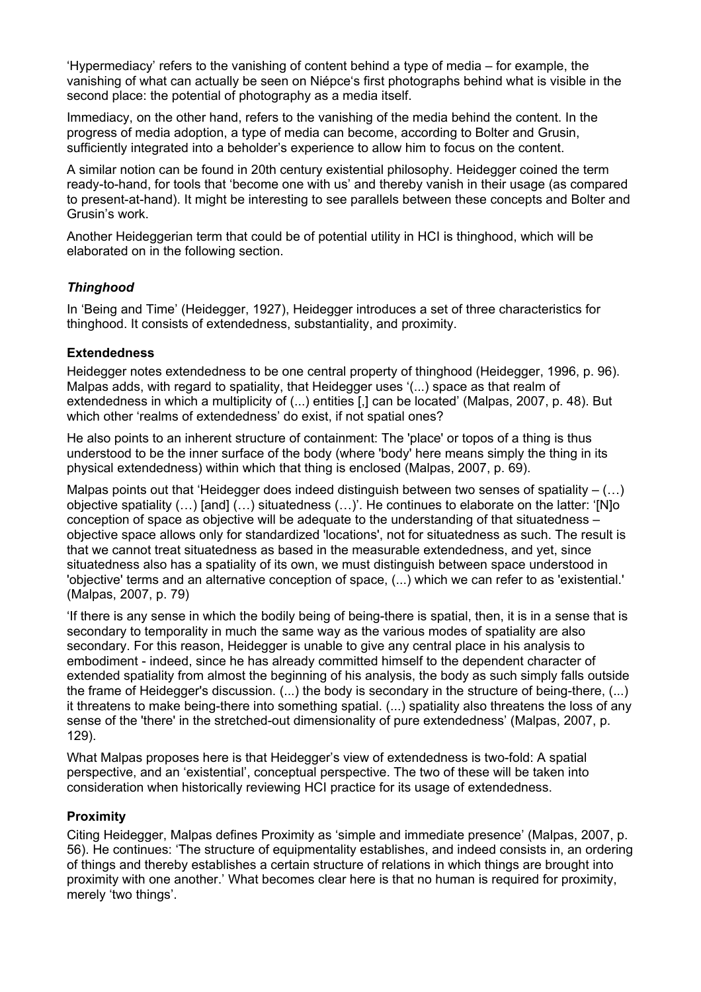'Hypermediacy' refers to the vanishing of content behind a type of media – for example, the vanishing of what can actually be seen on Niépce's first photographs behind what is visible in the second place: the potential of photography as a media itself.

Immediacy, on the other hand, refers to the vanishing of the media behind the content. In the progress of media adoption, a type of media can become, according to Bolter and Grusin, sufficiently integrated into a beholder's experience to allow him to focus on the content.

A similar notion can be found in 20th century existential philosophy. Heidegger coined the term ready-to-hand, for tools that 'become one with us' and thereby vanish in their usage (as compared to present-at-hand). It might be interesting to see parallels between these concepts and Bolter and Grusin's work.

Another Heideggerian term that could be of potential utility in HCI is thinghood, which will be elaborated on in the following section.

#### *Thinghood*

In 'Being and Time' (Heidegger, 1927), Heidegger introduces a set of three characteristics for thinghood. It consists of extendedness, substantiality, and proximity.

#### **Extendedness**

Heidegger notes extendedness to be one central property of thinghood (Heidegger, 1996, p. 96). Malpas adds, with regard to spatiality, that Heidegger uses '(...) space as that realm of extendedness in which a multiplicity of (...) entities [,] can be located' (Malpas, 2007, p. 48). But which other 'realms of extendedness' do exist, if not spatial ones?

He also points to an inherent structure of containment: The 'place' or topos of a thing is thus understood to be the inner surface of the body (where 'body' here means simply the thing in its physical extendedness) within which that thing is enclosed (Malpas, 2007, p. 69).

Malpas points out that 'Heidegger does indeed distinguish between two senses of spatiality  $-$  (...) objective spatiality (…) [and] (…) situatedness (…)'. He continues to elaborate on the latter: '[N]o conception of space as objective will be adequate to the understanding of that situatedness – objective space allows only for standardized 'locations', not for situatedness as such. The result is that we cannot treat situatedness as based in the measurable extendedness, and yet, since situatedness also has a spatiality of its own, we must distinguish between space understood in 'objective' terms and an alternative conception of space, (...) which we can refer to as 'existential.' (Malpas, 2007, p. 79)

'If there is any sense in which the bodily being of being-there is spatial, then, it is in a sense that is secondary to temporality in much the same way as the various modes of spatiality are also secondary. For this reason, Heidegger is unable to give any central place in his analysis to embodiment - indeed, since he has already committed himself to the dependent character of extended spatiality from almost the beginning of his analysis, the body as such simply falls outside the frame of Heidegger's discussion. (...) the body is secondary in the structure of being-there, (...) it threatens to make being-there into something spatial. (...) spatiality also threatens the loss of any sense of the 'there' in the stretched-out dimensionality of pure extendedness' (Malpas, 2007, p. 129).

What Malpas proposes here is that Heidegger's view of extendedness is two-fold: A spatial perspective, and an 'existential', conceptual perspective. The two of these will be taken into consideration when historically reviewing HCI practice for its usage of extendedness.

#### **Proximity**

Citing Heidegger, Malpas defines Proximity as 'simple and immediate presence' (Malpas, 2007, p. 56). He continues: 'The structure of equipmentality establishes, and indeed consists in, an ordering of things and thereby establishes a certain structure of relations in which things are brought into proximity with one another.' What becomes clear here is that no human is required for proximity, merely 'two things'.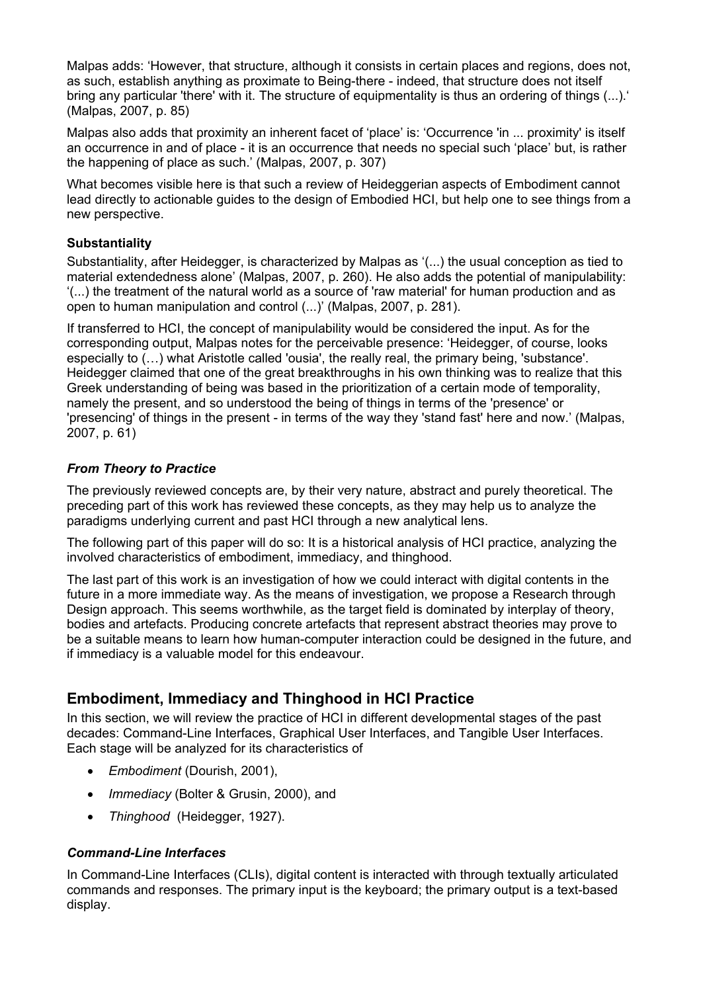Malpas adds: 'However, that structure, although it consists in certain places and regions, does not, as such, establish anything as proximate to Being-there - indeed, that structure does not itself bring any particular 'there' with it. The structure of equipmentality is thus an ordering of things (...).' (Malpas, 2007, p. 85)

Malpas also adds that proximity an inherent facet of 'place' is: 'Occurrence 'in ... proximity' is itself an occurrence in and of place - it is an occurrence that needs no special such 'place' but, is rather the happening of place as such.' (Malpas, 2007, p. 307)

What becomes visible here is that such a review of Heideggerian aspects of Embodiment cannot lead directly to actionable guides to the design of Embodied HCI, but help one to see things from a new perspective.

#### **Substantiality**

Substantiality, after Heidegger, is characterized by Malpas as '(...) the usual conception as tied to material extendedness alone' (Malpas, 2007, p. 260). He also adds the potential of manipulability: '(...) the treatment of the natural world as a source of 'raw material' for human production and as open to human manipulation and control (...)' (Malpas, 2007, p. 281).

If transferred to HCI, the concept of manipulability would be considered the input. As for the corresponding output, Malpas notes for the perceivable presence: 'Heidegger, of course, looks especially to (…) what Aristotle called 'ousia', the really real, the primary being, 'substance'. Heidegger claimed that one of the great breakthroughs in his own thinking was to realize that this Greek understanding of being was based in the prioritization of a certain mode of temporality, namely the present, and so understood the being of things in terms of the 'presence' or 'presencing' of things in the present - in terms of the way they 'stand fast' here and now.' (Malpas, 2007, p. 61)

#### *From Theory to Practice*

The previously reviewed concepts are, by their very nature, abstract and purely theoretical. The preceding part of this work has reviewed these concepts, as they may help us to analyze the paradigms underlying current and past HCI through a new analytical lens.

The following part of this paper will do so: It is a historical analysis of HCI practice, analyzing the involved characteristics of embodiment, immediacy, and thinghood.

The last part of this work is an investigation of how we could interact with digital contents in the future in a more immediate way. As the means of investigation, we propose a Research through Design approach. This seems worthwhile, as the target field is dominated by interplay of theory, bodies and artefacts. Producing concrete artefacts that represent abstract theories may prove to be a suitable means to learn how human-computer interaction could be designed in the future, and if immediacy is a valuable model for this endeavour.

# **Embodiment, Immediacy and Thinghood in HCI Practice**

In this section, we will review the practice of HCI in different developmental stages of the past decades: Command-Line Interfaces, Graphical User Interfaces, and Tangible User Interfaces. Each stage will be analyzed for its characteristics of

- *Embodiment* (Dourish, 2001),
- *Immediacy* (Bolter & Grusin, 2000), and
- *Thinghood* (Heidegger, 1927).

#### *Command-Line Interfaces*

In Command-Line Interfaces (CLIs), digital content is interacted with through textually articulated commands and responses. The primary input is the keyboard; the primary output is a text-based display.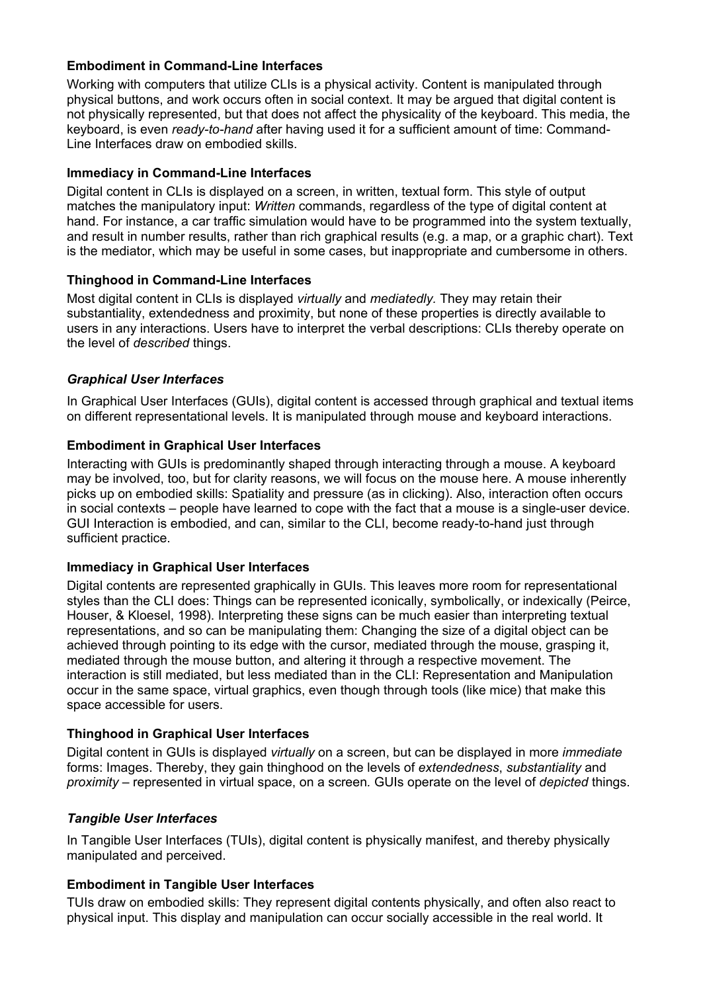#### **Embodiment in Command-Line Interfaces**

Working with computers that utilize CLIs is a physical activity. Content is manipulated through physical buttons, and work occurs often in social context. It may be argued that digital content is not physically represented, but that does not affect the physicality of the keyboard. This media, the keyboard, is even *ready-to-hand* after having used it for a sufficient amount of time: Command-Line Interfaces draw on embodied skills.

#### **Immediacy in Command-Line Interfaces**

Digital content in CLIs is displayed on a screen, in written, textual form. This style of output matches the manipulatory input: *Written* commands, regardless of the type of digital content at hand. For instance, a car traffic simulation would have to be programmed into the system textually, and result in number results, rather than rich graphical results (e.g. a map, or a graphic chart). Text is the mediator, which may be useful in some cases, but inappropriate and cumbersome in others.

#### **Thinghood in Command-Line Interfaces**

Most digital content in CLIs is displayed *virtually* and *mediatedly.* They may retain their substantiality, extendedness and proximity, but none of these properties is directly available to users in any interactions. Users have to interpret the verbal descriptions: CLIs thereby operate on the level of *described* things.

#### *Graphical User Interfaces*

In Graphical User Interfaces (GUIs), digital content is accessed through graphical and textual items on different representational levels. It is manipulated through mouse and keyboard interactions.

#### **Embodiment in Graphical User Interfaces**

Interacting with GUIs is predominantly shaped through interacting through a mouse. A keyboard may be involved, too, but for clarity reasons, we will focus on the mouse here. A mouse inherently picks up on embodied skills: Spatiality and pressure (as in clicking). Also, interaction often occurs in social contexts – people have learned to cope with the fact that a mouse is a single-user device. GUI Interaction is embodied, and can, similar to the CLI, become ready-to-hand just through sufficient practice.

#### **Immediacy in Graphical User Interfaces**

Digital contents are represented graphically in GUIs. This leaves more room for representational styles than the CLI does: Things can be represented iconically, symbolically, or indexically (Peirce, Houser, & Kloesel, 1998). Interpreting these signs can be much easier than interpreting textual representations, and so can be manipulating them: Changing the size of a digital object can be achieved through pointing to its edge with the cursor, mediated through the mouse, grasping it, mediated through the mouse button, and altering it through a respective movement. The interaction is still mediated, but less mediated than in the CLI: Representation and Manipulation occur in the same space, virtual graphics, even though through tools (like mice) that make this space accessible for users.

#### **Thinghood in Graphical User Interfaces**

Digital content in GUIs is displayed *virtually* on a screen, but can be displayed in more *immediate* forms: Images. Thereby, they gain thinghood on the levels of *extendedness*, *substantiality* and *proximity* – represented in virtual space, on a screen*.* GUIs operate on the level of *depicted* things.

#### *Tangible User Interfaces*

In Tangible User Interfaces (TUIs), digital content is physically manifest, and thereby physically manipulated and perceived.

#### **Embodiment in Tangible User Interfaces**

TUIs draw on embodied skills: They represent digital contents physically, and often also react to physical input. This display and manipulation can occur socially accessible in the real world. It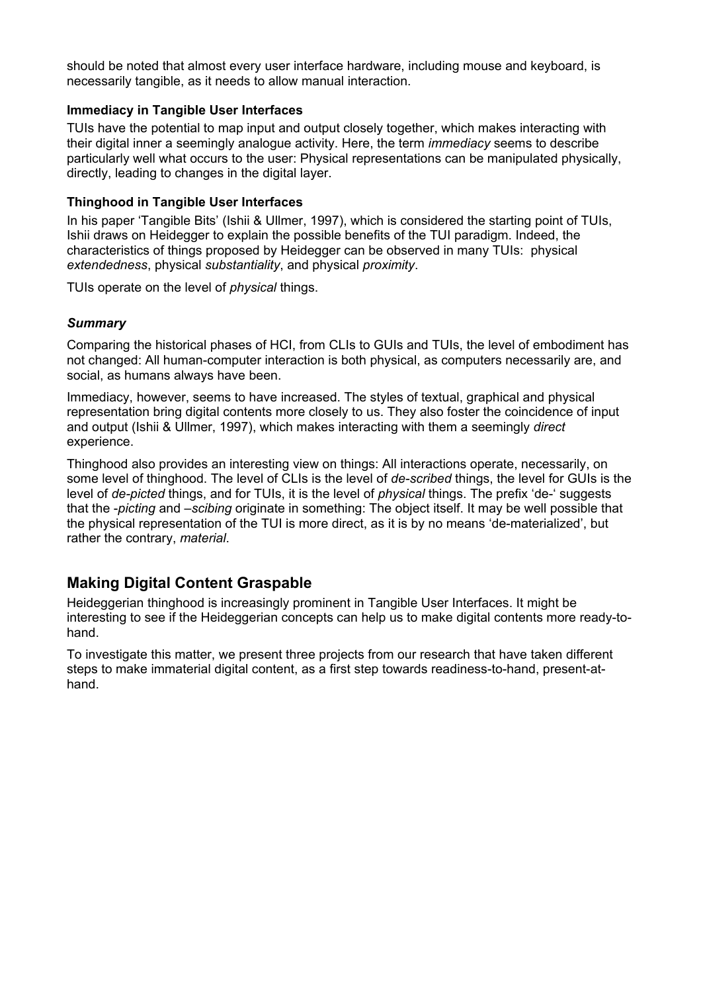should be noted that almost every user interface hardware, including mouse and keyboard, is necessarily tangible, as it needs to allow manual interaction.

#### **Immediacy in Tangible User Interfaces**

TUIs have the potential to map input and output closely together, which makes interacting with their digital inner a seemingly analogue activity. Here, the term *immediacy* seems to describe particularly well what occurs to the user: Physical representations can be manipulated physically, directly, leading to changes in the digital layer.

#### **Thinghood in Tangible User Interfaces**

In his paper 'Tangible Bits' (Ishii & Ullmer, 1997), which is considered the starting point of TUIs, Ishii draws on Heidegger to explain the possible benefits of the TUI paradigm. Indeed, the characteristics of things proposed by Heidegger can be observed in many TUIs: physical *extendedness*, physical *substantiality*, and physical *proximity*.

TUIs operate on the level of *physical* things.

#### *Summary*

Comparing the historical phases of HCI, from CLIs to GUIs and TUIs, the level of embodiment has not changed: All human-computer interaction is both physical, as computers necessarily are, and social, as humans always have been.

Immediacy, however, seems to have increased. The styles of textual, graphical and physical representation bring digital contents more closely to us. They also foster the coincidence of input and output (Ishii & Ullmer, 1997), which makes interacting with them a seemingly *direct* experience.

Thinghood also provides an interesting view on things: All interactions operate, necessarily, on some level of thinghood. The level of CLIs is the level of *de-scribed* things, the level for GUIs is the level of *de-picted* things, and for TUIs, it is the level of *physical* things. The prefix 'de-' suggests that the -*picting* and *–scibing* originate in something: The object itself. It may be well possible that the physical representation of the TUI is more direct, as it is by no means 'de-materialized', but rather the contrary, *material*.

#### **Making Digital Content Graspable**

Heideggerian thinghood is increasingly prominent in Tangible User Interfaces. It might be interesting to see if the Heideggerian concepts can help us to make digital contents more ready-tohand.

To investigate this matter, we present three projects from our research that have taken different steps to make immaterial digital content, as a first step towards readiness-to-hand, present-athand.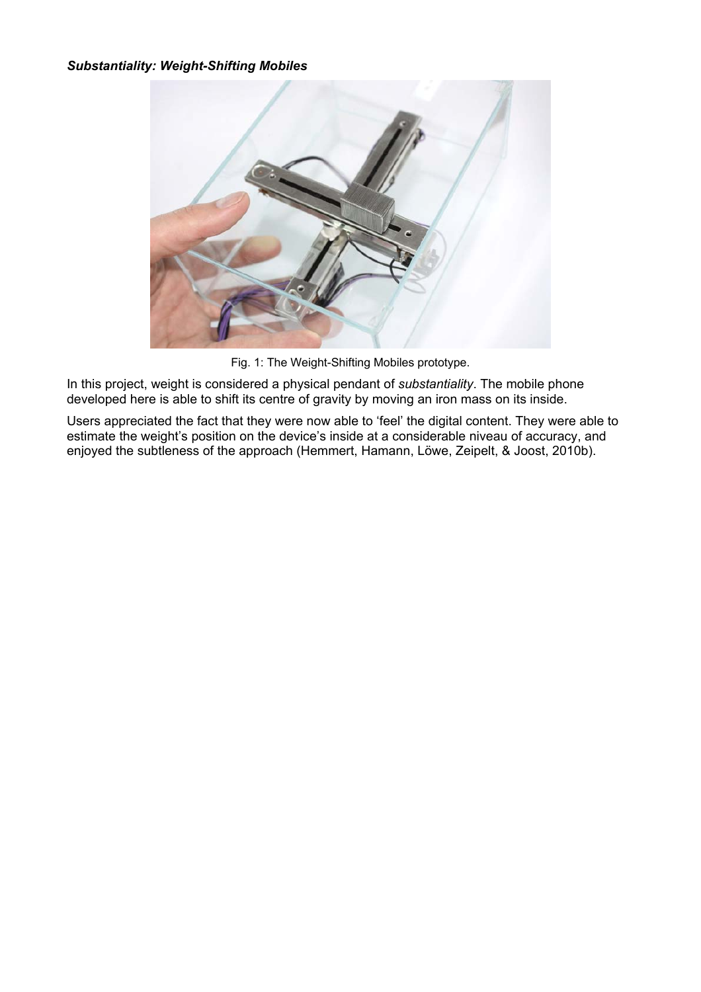#### *Substantiality: Weight-Shifting Mobiles*



Fig. 1: The Weight-Shifting Mobiles prototype.

In this project, weight is considered a physical pendant of *substantiality*. The mobile phone developed here is able to shift its centre of gravity by moving an iron mass on its inside.

Users appreciated the fact that they were now able to 'feel' the digital content. They were able to estimate the weight's position on the device's inside at a considerable niveau of accuracy, and enjoyed the subtleness of the approach (Hemmert, Hamann, Löwe, Zeipelt, & Joost, 2010b).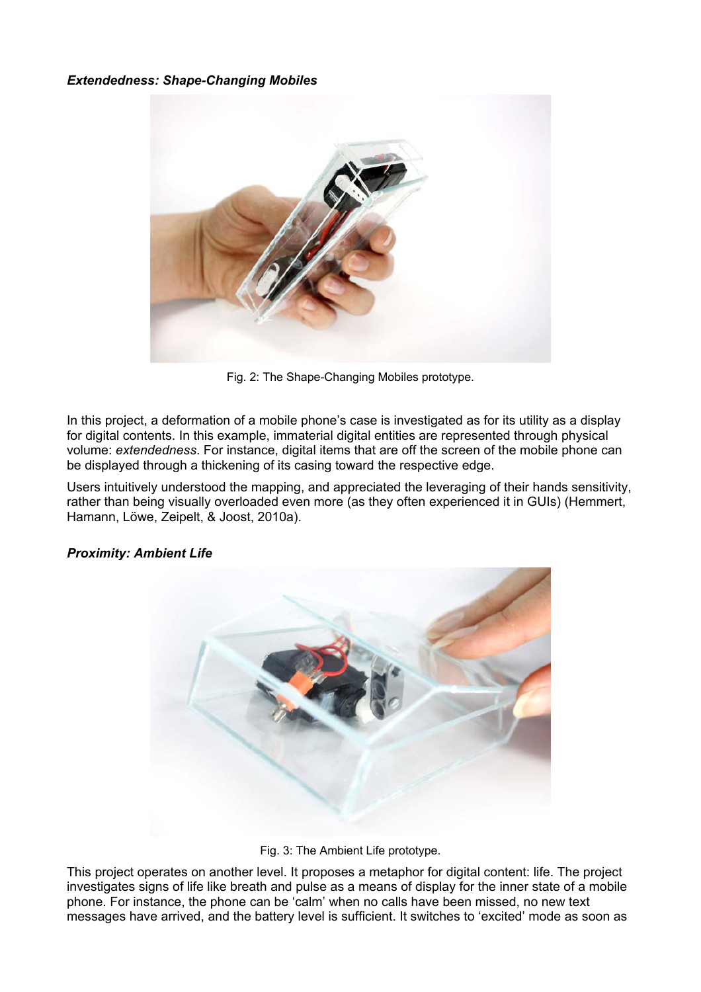#### *Extendedness: Shape-Changing Mobiles*



Fig. 2: The Shape-Changing Mobiles prototype.

In this project, a deformation of a mobile phone's case is investigated as for its utility as a display for digital contents. In this example, immaterial digital entities are represented through physical volume: *extendedness*. For instance, digital items that are off the screen of the mobile phone can be displayed through a thickening of its casing toward the respective edge.

Users intuitively understood the mapping, and appreciated the leveraging of their hands sensitivity, rather than being visually overloaded even more (as they often experienced it in GUIs) (Hemmert, Hamann, Löwe, Zeipelt, & Joost, 2010a).



#### *Proximity: Ambient Life*

Fig. 3: The Ambient Life prototype.

This project operates on another level. It proposes a metaphor for digital content: life. The project investigates signs of life like breath and pulse as a means of display for the inner state of a mobile phone. For instance, the phone can be 'calm' when no calls have been missed, no new text messages have arrived, and the battery level is sufficient. It switches to 'excited' mode as soon as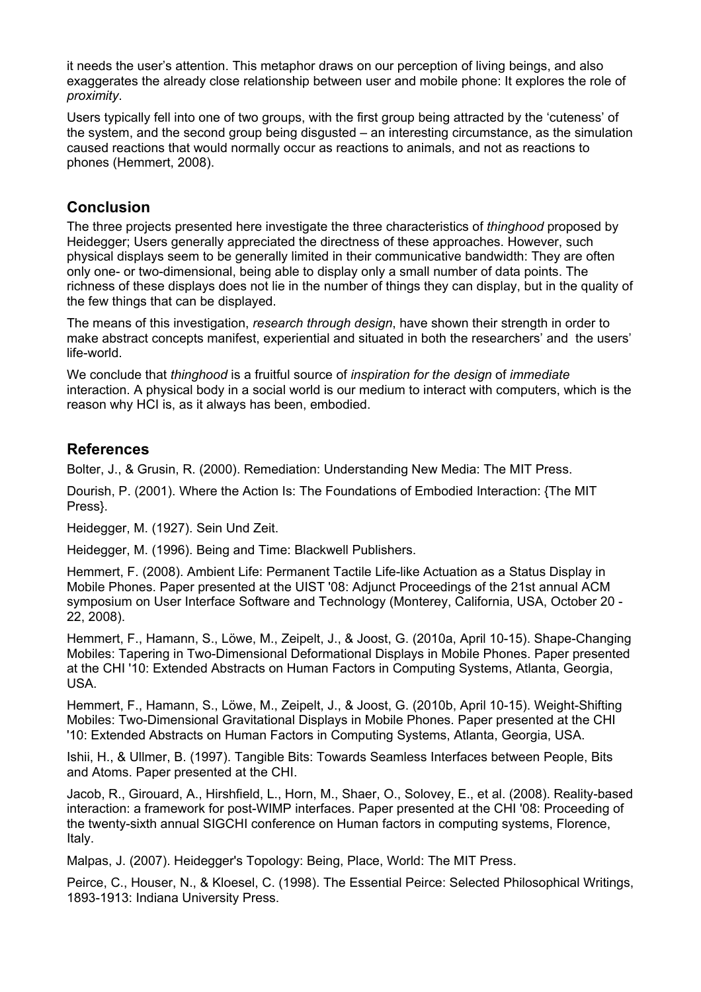it needs the user's attention. This metaphor draws on our perception of living beings, and also exaggerates the already close relationship between user and mobile phone: It explores the role of *proximity*.

Users typically fell into one of two groups, with the first group being attracted by the 'cuteness' of the system, and the second group being disgusted – an interesting circumstance, as the simulation caused reactions that would normally occur as reactions to animals, and not as reactions to phones (Hemmert, 2008).

### **Conclusion**

The three projects presented here investigate the three characteristics of *thinghood* proposed by Heidegger; Users generally appreciated the directness of these approaches. However, such physical displays seem to be generally limited in their communicative bandwidth: They are often only one- or two-dimensional, being able to display only a small number of data points. The richness of these displays does not lie in the number of things they can display, but in the quality of the few things that can be displayed.

The means of this investigation, *research through design*, have shown their strength in order to make abstract concepts manifest, experiential and situated in both the researchers' and the users' life-world.

We conclude that *thinghood* is a fruitful source of *inspiration for the design* of *immediate* interaction. A physical body in a social world is our medium to interact with computers, which is the reason why HCI is, as it always has been, embodied.

## **References**

Bolter, J., & Grusin, R. (2000). Remediation: Understanding New Media: The MIT Press.

Dourish, P. (2001). Where the Action Is: The Foundations of Embodied Interaction: {The MIT Press}.

Heidegger, M. (1927). Sein Und Zeit.

Heidegger, M. (1996). Being and Time: Blackwell Publishers.

Hemmert, F. (2008). Ambient Life: Permanent Tactile Life-like Actuation as a Status Display in Mobile Phones. Paper presented at the UIST '08: Adjunct Proceedings of the 21st annual ACM symposium on User Interface Software and Technology (Monterey, California, USA, October 20 - 22, 2008).

Hemmert, F., Hamann, S., Löwe, M., Zeipelt, J., & Joost, G. (2010a, April 10-15). Shape-Changing Mobiles: Tapering in Two-Dimensional Deformational Displays in Mobile Phones. Paper presented at the CHI '10: Extended Abstracts on Human Factors in Computing Systems, Atlanta, Georgia, USA.

Hemmert, F., Hamann, S., Löwe, M., Zeipelt, J., & Joost, G. (2010b, April 10-15). Weight-Shifting Mobiles: Two-Dimensional Gravitational Displays in Mobile Phones. Paper presented at the CHI '10: Extended Abstracts on Human Factors in Computing Systems, Atlanta, Georgia, USA.

Ishii, H., & Ullmer, B. (1997). Tangible Bits: Towards Seamless Interfaces between People, Bits and Atoms. Paper presented at the CHI.

Jacob, R., Girouard, A., Hirshfield, L., Horn, M., Shaer, O., Solovey, E., et al. (2008). Reality-based interaction: a framework for post-WIMP interfaces. Paper presented at the CHI '08: Proceeding of the twenty-sixth annual SIGCHI conference on Human factors in computing systems, Florence, Italy.

Malpas, J. (2007). Heidegger's Topology: Being, Place, World: The MIT Press.

Peirce, C., Houser, N., & Kloesel, C. (1998). The Essential Peirce: Selected Philosophical Writings, 1893-1913: Indiana University Press.